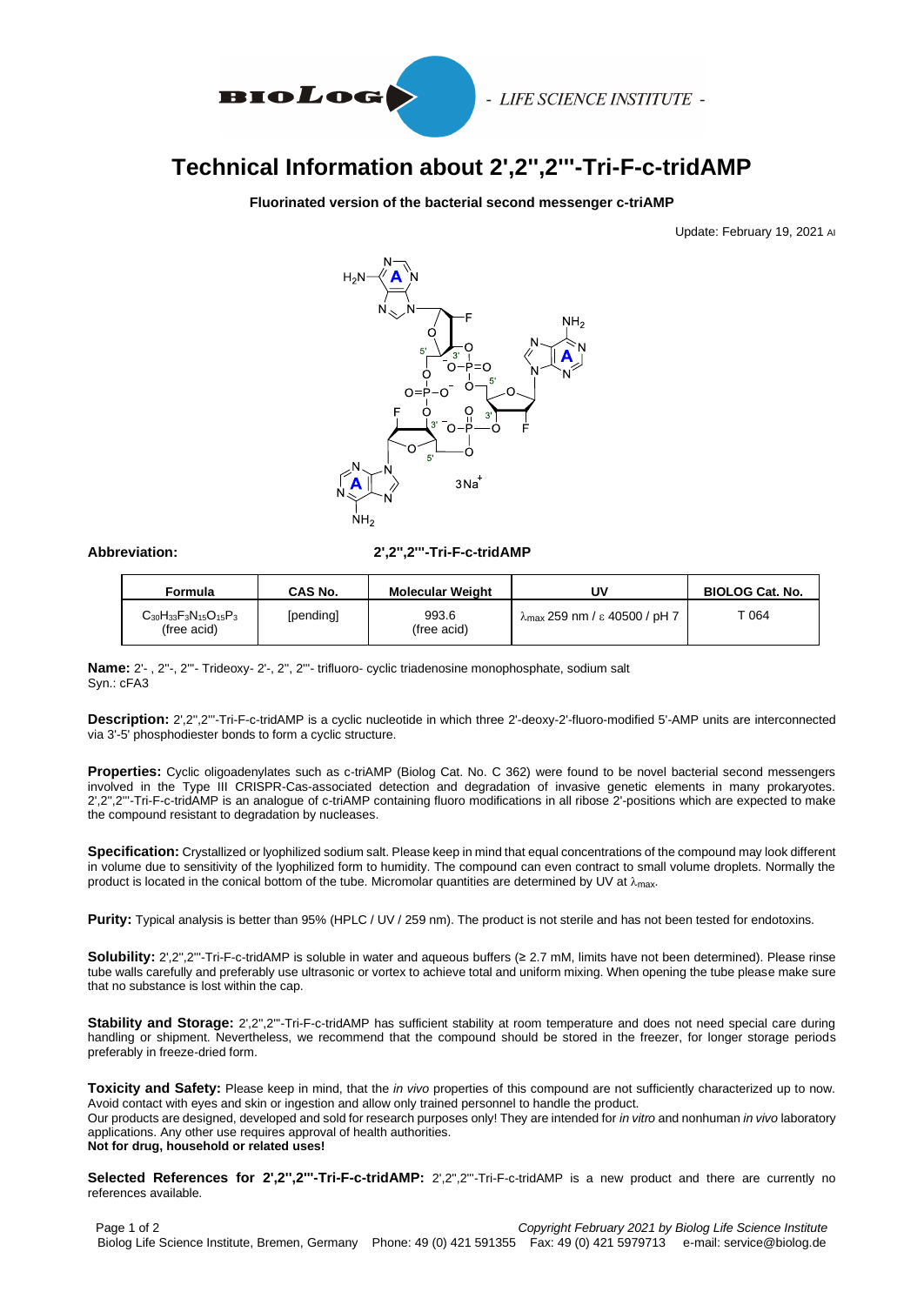

- LIFE SCIENCE INSTITUTE -

## **Technical Information about 2',2'',2'''-Tri-F-c-tridAMP**

**Fluorinated version of the bacterial second messenger c-triAMP**

Update: February 19, 2021 AI



**Abbreviation: 2',2'',2'''-Tri-F-c-tridAMP**

| Formula                                         | CAS No.   | <b>Molecular Weight</b> | Uν                                             | <b>BIOLOG Cat. No.</b> |
|-------------------------------------------------|-----------|-------------------------|------------------------------------------------|------------------------|
| $C_{30}H_{33}F_3N_{15}O_{15}P_3$<br>(free acid) | [pending] | 993.6<br>(free acid)    | $\lambda_{\text{max}}$ 259 nm / ε 40500 / pH 7 | - 064                  |

**Name:** 2'- , 2''-, 2'''- Trideoxy- 2'-, 2'', 2'''- trifluoro- cyclic triadenosine monophosphate, sodium salt Syn.: cFA3

**Description:** 2',2'',2'''-Tri-F-c-tridAMP is a cyclic nucleotide in which three 2'-deoxy-2'-fluoro-modified 5'-AMP units are interconnected via 3'-5' phosphodiester bonds to form a cyclic structure.

**Properties:** Cyclic oligoadenylates such as c-triAMP (Biolog Cat. No. C 362) were found to be novel bacterial second messengers involved in the Type III CRISPR-Cas-associated detection and degradation of invasive genetic elements in many prokaryotes. 2',2'',2'''-Tri-F-c-tridAMP is an analogue of c-triAMP containing fluoro modifications in all ribose 2'-positions which are expected to make the compound resistant to degradation by nucleases.

**Specification:** Crystallized or lyophilized sodium salt. Please keep in mind that equal concentrations of the compound may look different in volume due to sensitivity of the lyophilized form to humidity. The compound can even contract to small volume droplets. Normally the product is located in the conical bottom of the tube. Micromolar quantities are determined by UV at  $\lambda_{\rm max}$ .

**Purity:** Typical analysis is better than 95% (HPLC / UV / 259 nm). The product is not sterile and has not been tested for endotoxins.

**Solubility:** 2',2'',2'''-Tri-F-c-tridAMP is soluble in water and aqueous buffers (≥ 2.7 mM, limits have not been determined). Please rinse tube walls carefully and preferably use ultrasonic or vortex to achieve total and uniform mixing. When opening the tube please make sure that no substance is lost within the cap.

**Stability and Storage:** 2',2'',2'''-Tri-F-c-tridAMP has sufficient stability at room temperature and does not need special care during handling or shipment. Nevertheless, we recommend that the compound should be stored in the freezer, for longer storage periods preferably in freeze-dried form.

**Toxicity and Safety:** Please keep in mind, that the *in vivo* properties of this compound are not sufficiently characterized up to now. Avoid contact with eyes and skin or ingestion and allow only trained personnel to handle the product. Our products are designed, developed and sold for research purposes only! They are intended for *in vitro* and nonhuman *in vivo* laboratory applications. Any other use requires approval of health authorities. **Not for drug, household or related uses!**

**Selected References for 2',2'',2'''-Tri-F-c-tridAMP:** 2',2'',2'''-Tri-F-c-tridAMP is a new product and there are currently no references available.